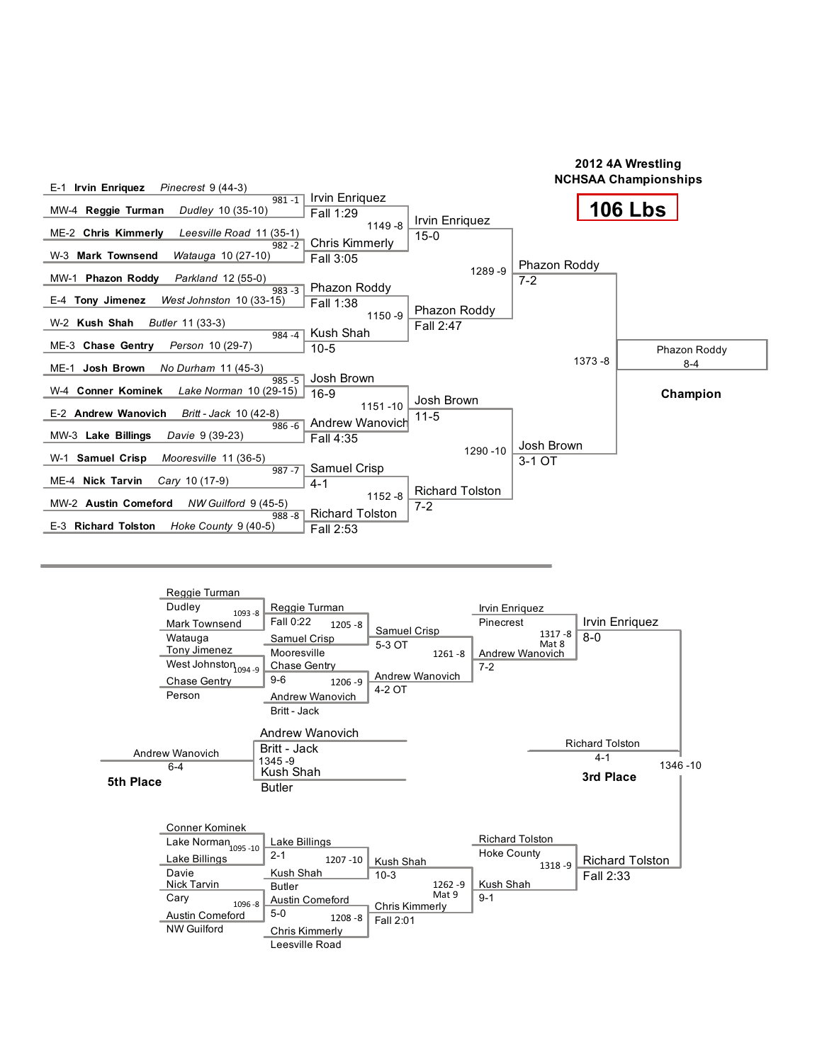

|           | Reggie Turman<br>Dudley<br>$1093 - 8$<br><b>Mark Townsend</b><br>Watauga<br>Tony Jimenez<br>West Johnston <sub>1094-9</sub><br>Chase Gentry<br>Person              | Reggie Turman<br>Fall 0:22<br>$1205 - 8$<br>Samuel Crisp<br>Mooresville<br>Chase Gentry<br>$9-6$<br>1206 - 9<br>Andrew Wanovich<br>Britt - Jack   | Samuel Crisp<br>5-3 OT<br>Andrew Wanovich<br>4-2 OT       | $1261 - 8$          | Irvin Enriquez<br>Pinecrest<br>$1317 - 8$<br>Mat 8<br>Andrew Wanovich<br>$7 - 2$ | Irvin Enriquez<br>$8 - 0$                      |         |
|-----------|--------------------------------------------------------------------------------------------------------------------------------------------------------------------|---------------------------------------------------------------------------------------------------------------------------------------------------|-----------------------------------------------------------|---------------------|----------------------------------------------------------------------------------|------------------------------------------------|---------|
| 5th Place | Andrew Wanovich<br>$6 - 4$                                                                                                                                         | Andrew Wanovich<br>Britt - Jack<br>1345-9<br>Kush Shah<br><b>Butler</b>                                                                           |                                                           |                     |                                                                                  | <b>Richard Tolston</b><br>$4 - 1$<br>3rd Place | 1346-10 |
|           | <b>Conner Kominek</b><br>Lake Norman <sub>1095-10</sub><br>Lake Billings<br>Davie<br>Nick Tarvin<br>Cary<br>1096-8<br><b>Austin Comeford</b><br><b>NW Guilford</b> | Lake Billings<br>$2 - 1$<br>1207 - 10<br>Kush Shah<br><b>Butler</b><br>Austin Comeford<br>$5-0$<br>$1208 - 8$<br>Chris Kimmerly<br>Leesville Road | Kush Shah<br>$10-3$<br><b>Chris Kimmerly</b><br>Fall 2:01 | $1262 - 9$<br>Mat 9 | <b>Richard Tolston</b><br><b>Hoke County</b><br>1318-9<br>Kush Shah<br>$9 - 1$   | <b>Richard Tolston</b><br>Fall 2:33            |         |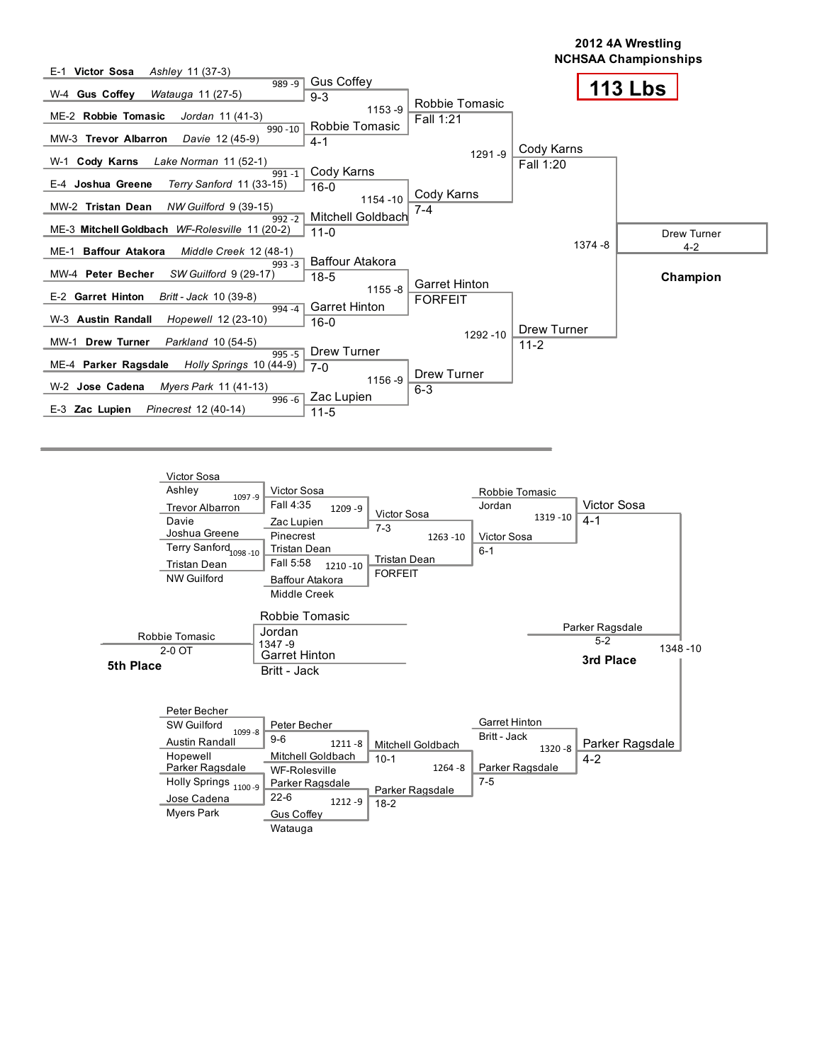

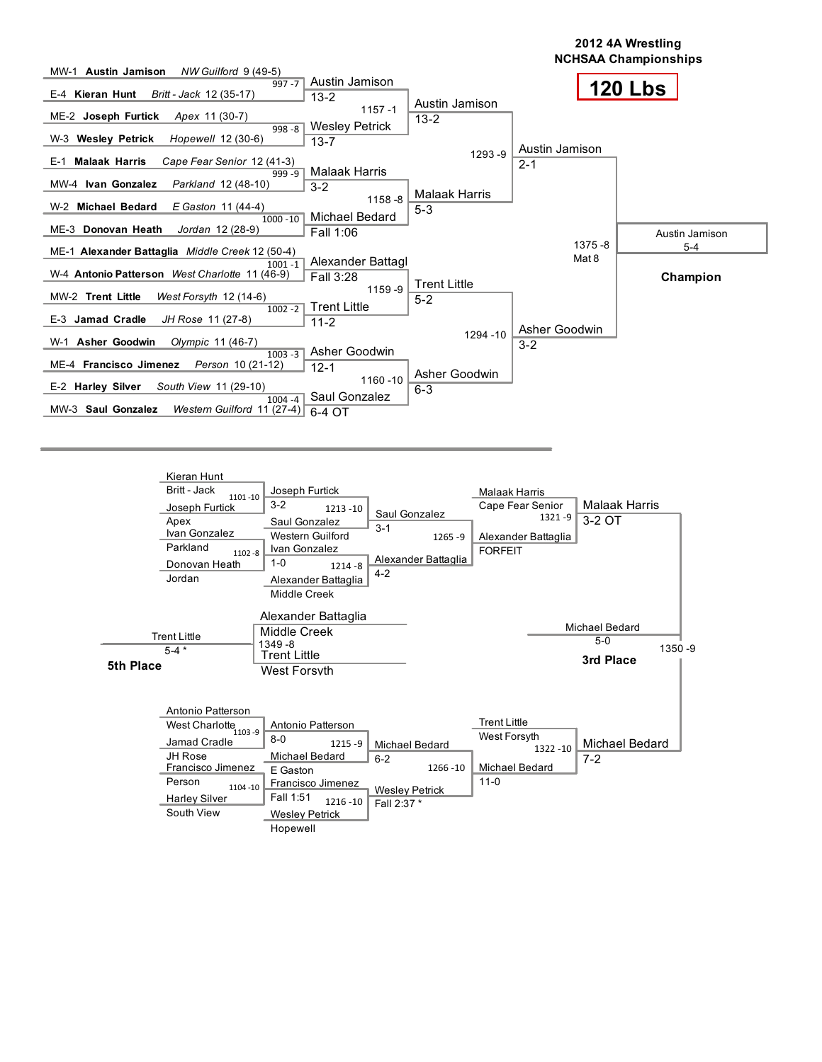

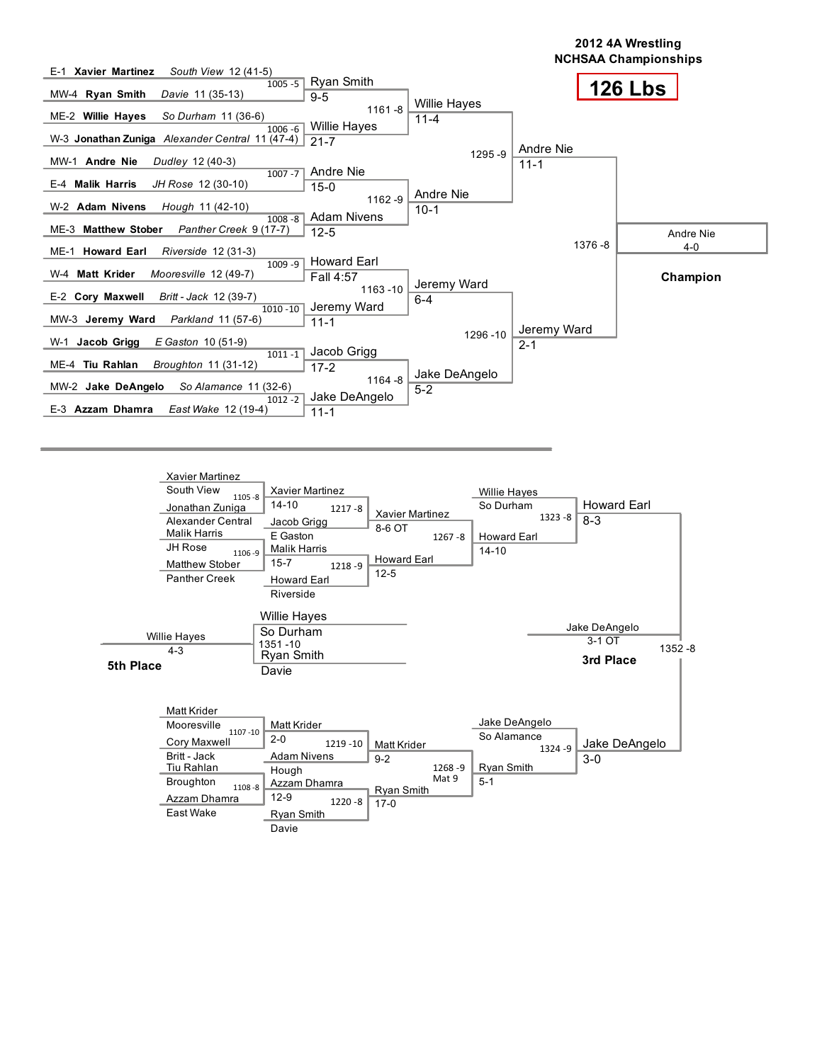

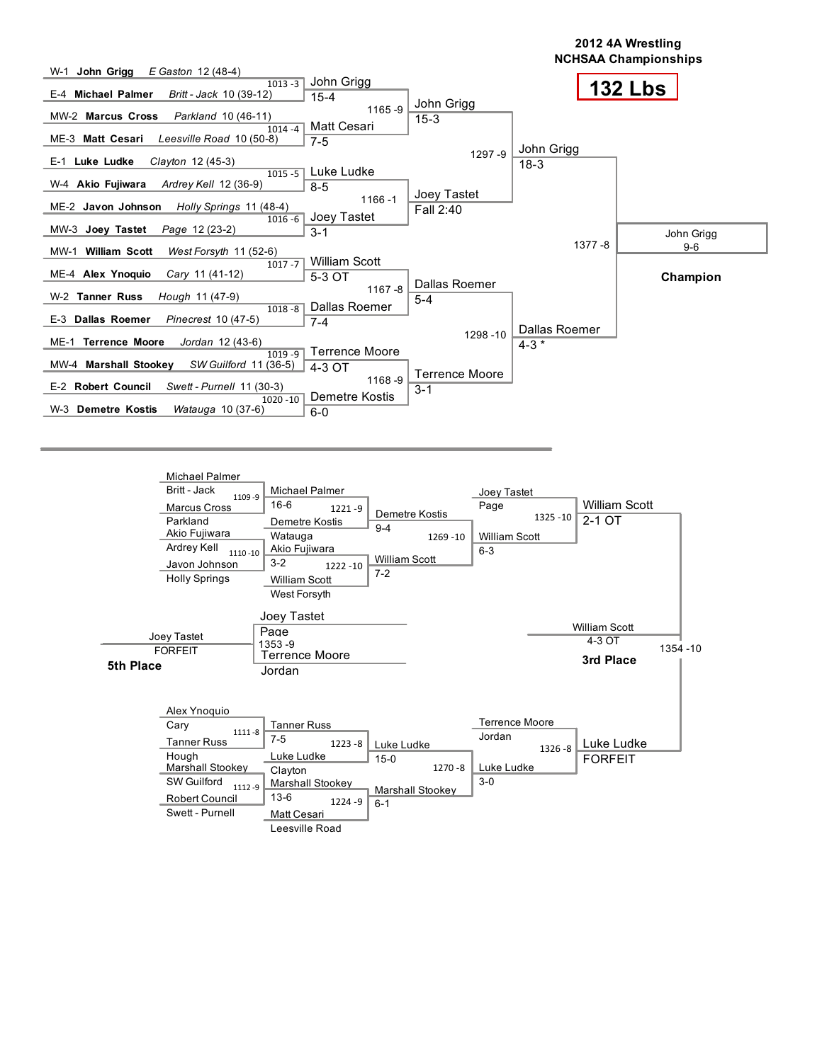

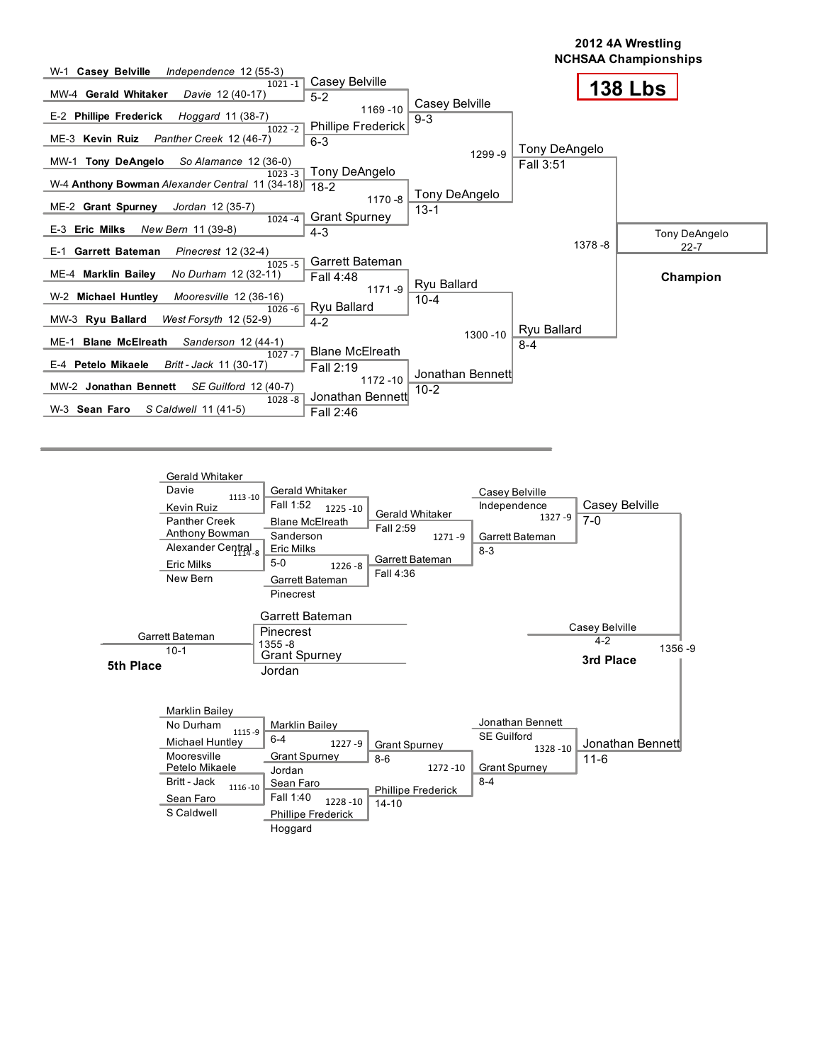

| 5th Place | $10-1$                                                                                                                                                 | <b>Grant Spurney</b><br>Jordan                                                                                                                           |                                                                                      |                                                                                        | 3rd Place                    |
|-----------|--------------------------------------------------------------------------------------------------------------------------------------------------------|----------------------------------------------------------------------------------------------------------------------------------------------------------|--------------------------------------------------------------------------------------|----------------------------------------------------------------------------------------|------------------------------|
|           | <b>Marklin Bailev</b><br>No Durham<br>1115-9<br>Michael Huntley<br>Mooresville<br>Petelo Mikaele<br>Britt - Jack<br>1116-10<br>Sean Faro<br>S Caldwell | Marklin Bailey<br>$6 - 4$<br>$1227 - 9$<br><b>Grant Spurney</b><br>Jordan<br>Sean Faro<br>Fall 1:40<br>1228 - 10<br><b>Phillipe Frederick</b><br>Hoggard | <b>Grant Spurney</b><br>$8-6$<br>1272 - 10<br><b>Phillipe Frederick</b><br>$14 - 10$ | Jonathan Bennett<br><b>SE Guilford</b><br>1328 - 10<br><b>Grant Spurney</b><br>$8 - 4$ | Jonathan Bennett<br>$11 - 6$ |

1356 -9

Casey Belville 4-2

Fall 4:36

New Bern

Garrett Bateman  $10-1$ 

Garrett Bateman Pinecrest

Garrett Bateman Pinecrest

Grant Spurney

1355 -8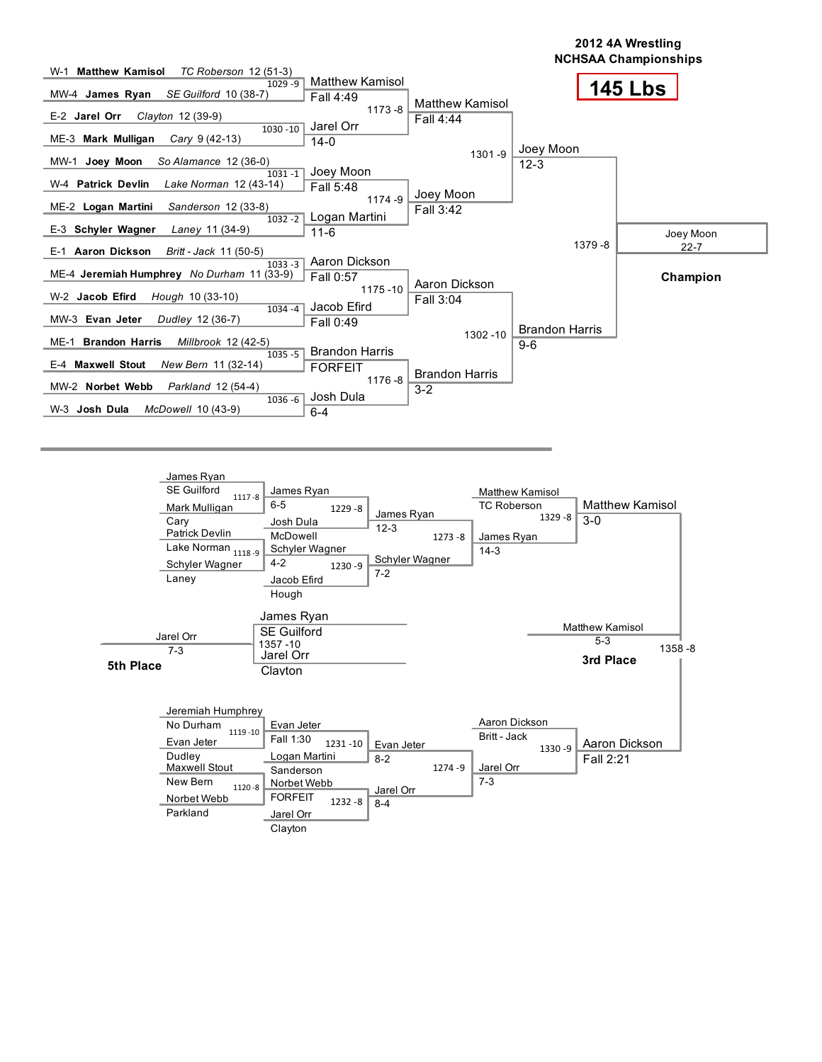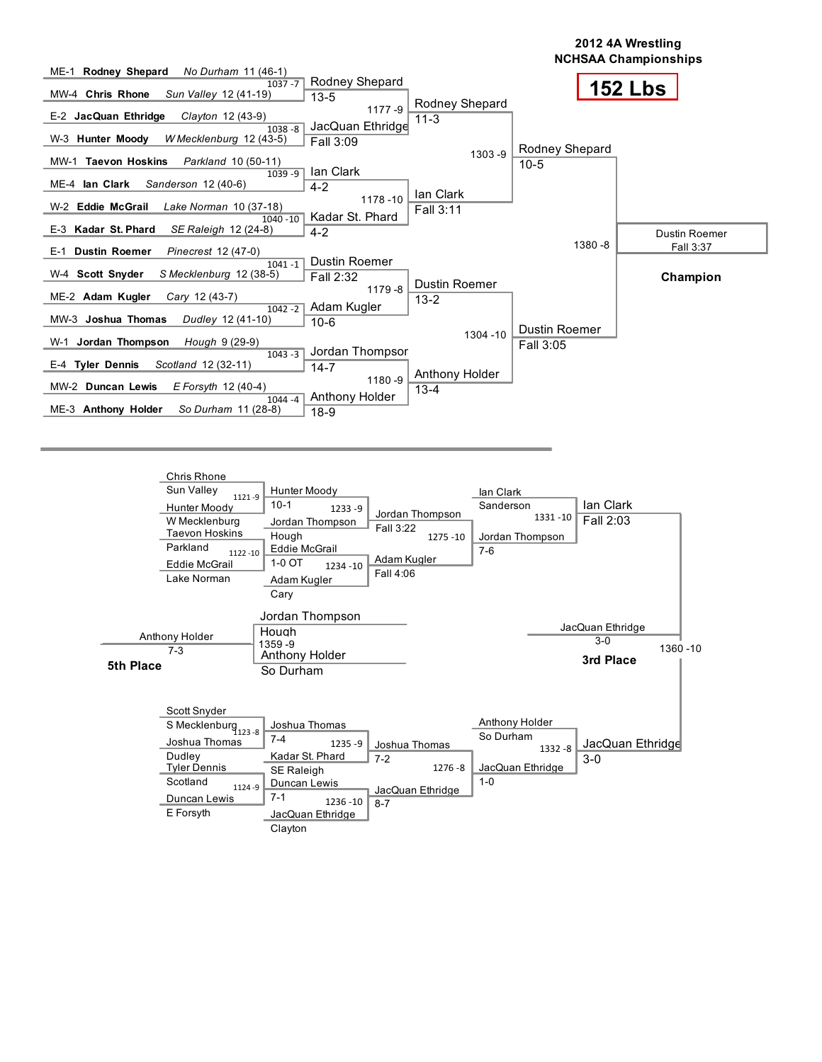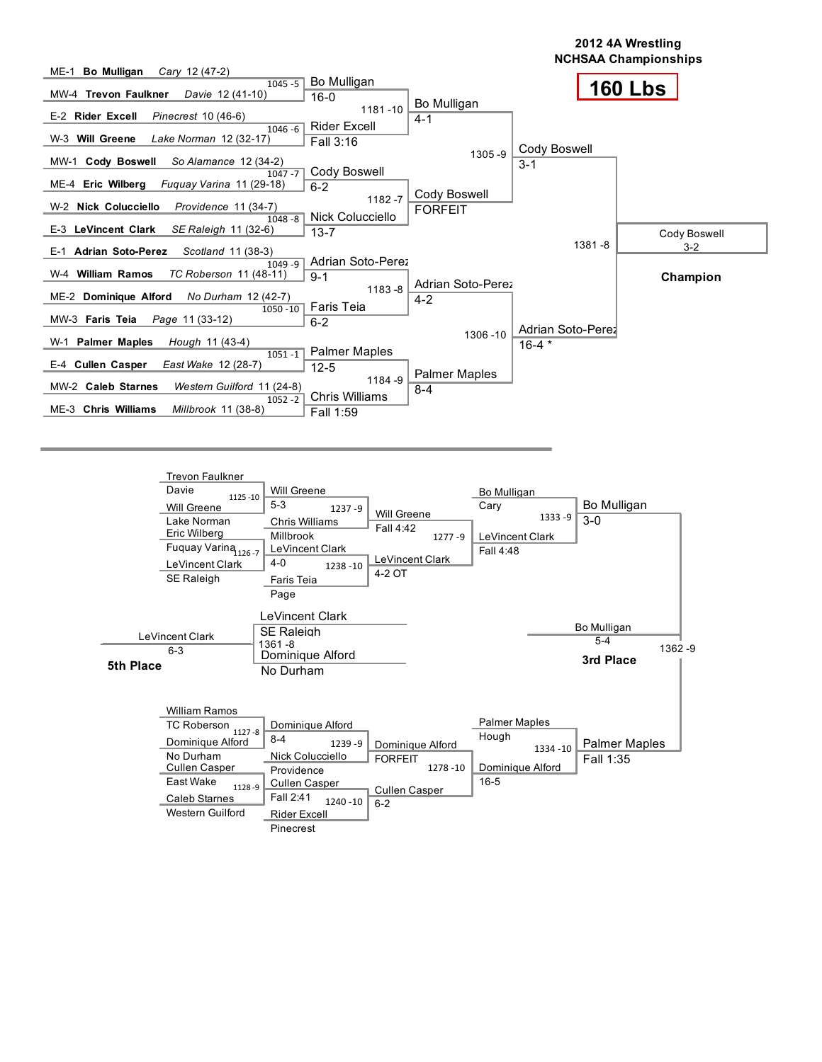



| <b>William Ramos</b>           |                        |                      |                      |                      |
|--------------------------------|------------------------|----------------------|----------------------|----------------------|
| <b>TC Roberson</b>             | Dominique Alford       |                      | <b>Palmer Maples</b> |                      |
| $1127 - 8$<br>Dominique Alford | $8 - 4$<br>$1239 - 9$  | Dominique Alford     | Hough<br>1334 - 10   | <b>Palmer Maples</b> |
| No Durham                      | Nick Colucciello       | <b>FORFEIT</b>       |                      | Fall 1:35            |
| <b>Cullen Casper</b>           | Providence             | 1278 - 10            | Dominique Alford     |                      |
| East Wake<br>1128-9            | <b>Cullen Casper</b>   | <b>Cullen Casper</b> | $16 - 5$             |                      |
| Caleb Starnes                  | Fall 2:41<br>1240 - 10 | $6 - 2$              |                      |                      |
| Western Guilford               | <b>Rider Excell</b>    |                      |                      |                      |
|                                | Pinecrest              |                      |                      |                      |

1362 -9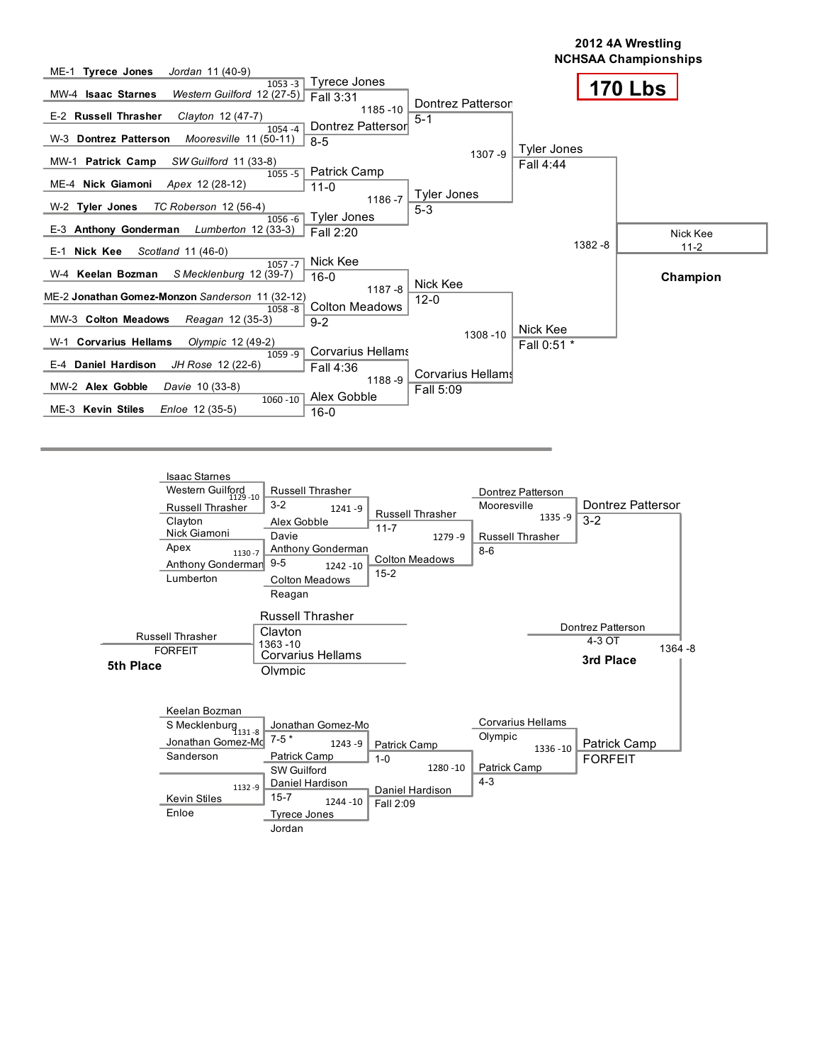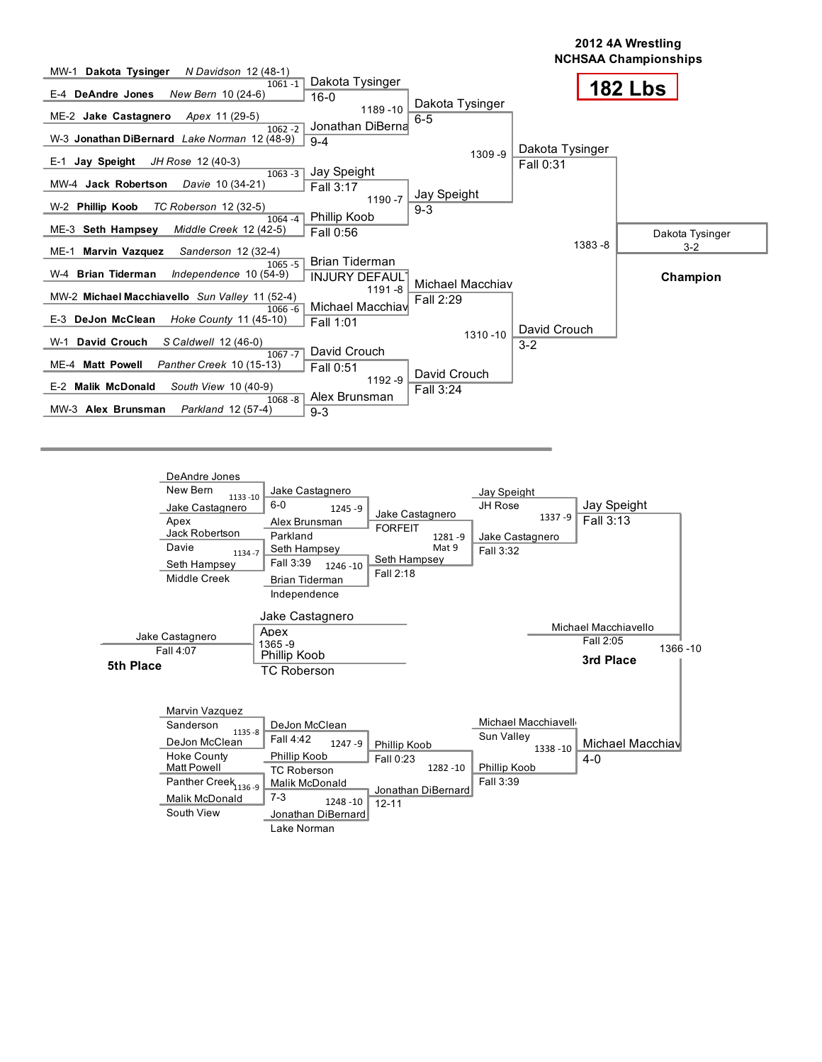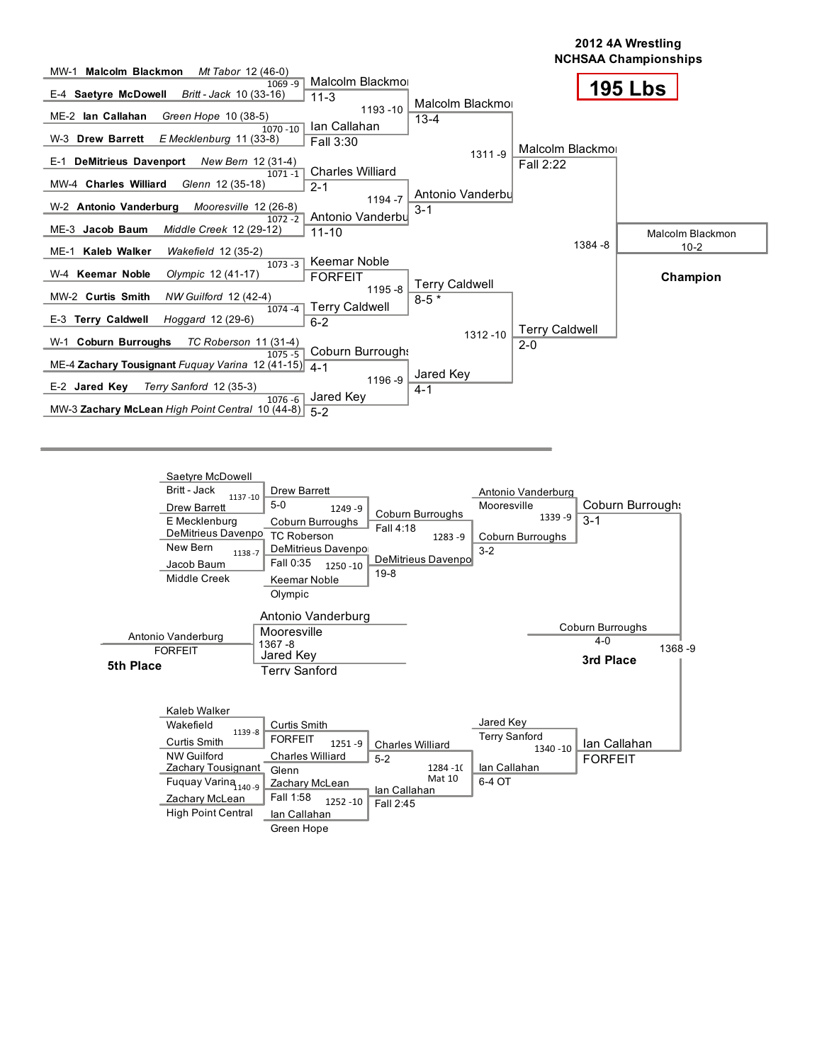

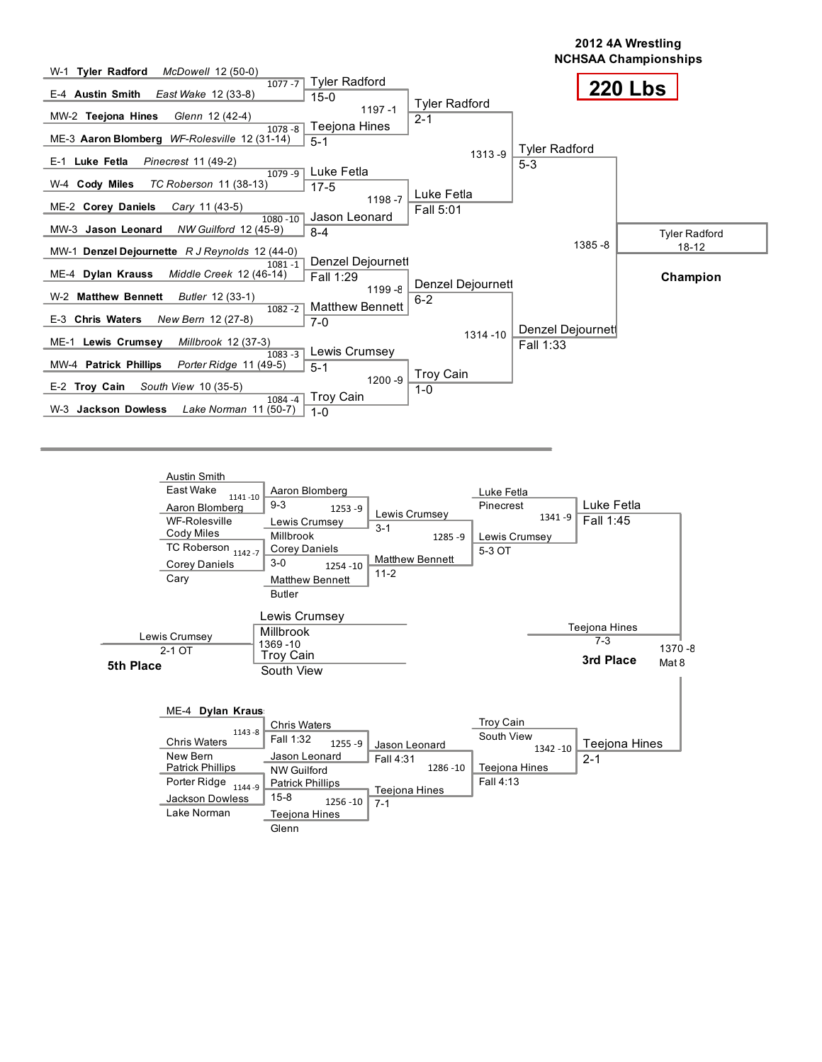